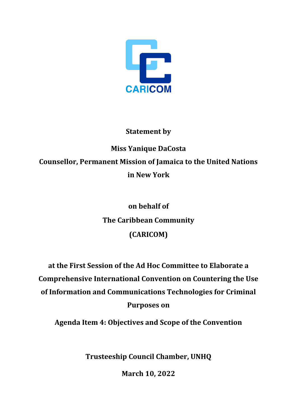

## **Statement by**

**Miss Yanique DaCosta Counsellor, Permanent Mission of Jamaica to the United Nations in New York**

## **on behalf of The Caribbean Community (CARICOM)**

**at the First Session of the Ad Hoc Committee to Elaborate a Comprehensive International Convention on Countering the Use of Information and Communications Technologies for Criminal Purposes on**

**Agenda Item 4: Objectives and Scope of the Convention**

**Trusteeship Council Chamber, UNHQ**

**March 10, 2022**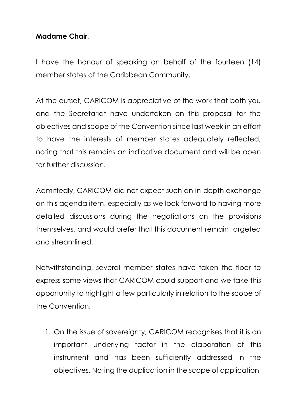## **Madame Chair,**

I have the honour of speaking on behalf of the fourteen (14) member states of the Caribbean Community.

At the outset, CARICOM is appreciative of the work that both you and the Secretariat have undertaken on this proposal for the objectives and scope of the Convention since last week in an effort to have the interests of member states adequately reflected, noting that this remains an indicative document and will be open for further discussion.

Admittedly, CARICOM did not expect such an in-depth exchange on this agenda item, especially as we look forward to having more detailed discussions during the negotiations on the provisions themselves, and would prefer that this document remain targeted and streamlined.

Notwithstanding, several member states have taken the floor to express some views that CARICOM could support and we take this opportunity to highlight a few particularly in relation to the scope of the Convention.

1. On the issue of sovereignty, CARICOM recognises that it is an important underlying factor in the elaboration of this instrument and has been sufficiently addressed in the objectives. Noting the duplication in the scope of application,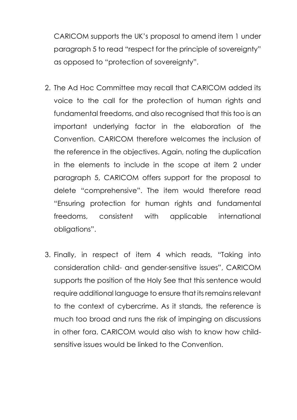CARICOM supports the UK's proposal to amend item 1 under paragraph 5 to read "respect for the principle of sovereignty" as opposed to "protection of sovereignty".

- 2. The Ad Hoc Committee may recall that CARICOM added its voice to the call for the protection of human rights and fundamental freedoms, and also recognised that this too is an important underlying factor in the elaboration of the Convention. CARICOM therefore welcomes the inclusion of the reference in the objectives. Again, noting the duplication in the elements to include in the scope at item 2 under paragraph 5, CARICOM offers support for the proposal to delete "comprehensive". The item would therefore read "Ensuring protection for human rights and fundamental freedoms, consistent with applicable international obligations".
- 3. Finally, in respect of item 4 which reads, "Taking into consideration child- and gender-sensitive issues", CARICOM supports the position of the Holy See that this sentence would require additional language to ensure that its remains relevant to the context of cybercrime. As it stands, the reference is much too broad and runs the risk of impinging on discussions in other fora. CARICOM would also wish to know how childsensitive issues would be linked to the Convention.